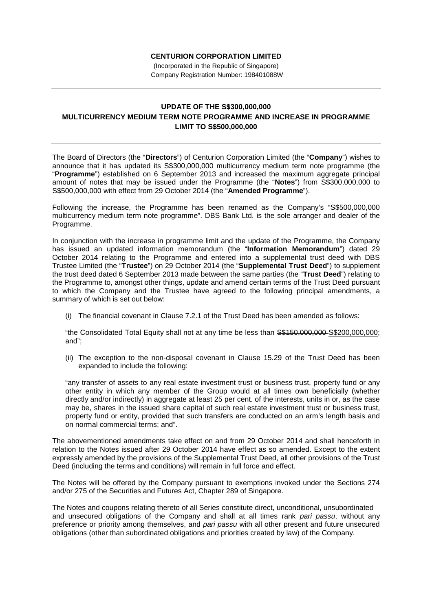## **CENTURION CORPORATION LIMITED**

(Incorporated in the Republic of Singapore) Company Registration Number: 198401088W

## **UPDATE OF THE S\$300,000,000 MULTICURRENCY MEDIUM TERM NOTE PROGRAMME AND INCREASE IN PROGRAMME LIMIT TO S\$500,000,000**

The Board of Directors (the "**Directors**") of Centurion Corporation Limited (the "**Company**") wishes to announce that it has updated its S\$300,000,000 multicurrency medium term note programme (the "**Programme**") established on 6 September 2013 and increased the maximum aggregate principal amount of notes that may be issued under the Programme (the "**Notes**") from S\$300,000,000 to S\$500,000,000 with effect from 29 October 2014 (the "**Amended Programme**").

Following the increase, the Programme has been renamed as the Company's "S\$500,000,000 multicurrency medium term note programme". DBS Bank Ltd. is the sole arranger and dealer of the Programme.

In conjunction with the increase in programme limit and the update of the Programme, the Company has issued an updated information memorandum (the "**Information Memorandum**") dated 29 October 2014 relating to the Programme and entered into a supplemental trust deed with DBS Trustee Limited (the "**Trustee**") on 29 October 2014 (the "**Supplemental Trust Deed**") to supplement the trust deed dated 6 September 2013 made between the same parties (the "**Trust Deed**") relating to the Programme to, amongst other things, update and amend certain terms of the Trust Deed pursuant to which the Company and the Trustee have agreed to the following principal amendments, a summary of which is set out below:

(i) The financial covenant in Clause 7.2.1 of the Trust Deed has been amended as follows:

"the Consolidated Total Equity shall not at any time be less than \$\$150,000,000-\$\$200,000,000; and";

(ii) The exception to the non-disposal covenant in Clause 15.29 of the Trust Deed has been expanded to include the following:

"any transfer of assets to any real estate investment trust or business trust, property fund or any other entity in which any member of the Group would at all times own beneficially (whether directly and/or indirectly) in aggregate at least 25 per cent. of the interests, units in or, as the case may be, shares in the issued share capital of such real estate investment trust or business trust, property fund or entity, provided that such transfers are conducted on an arm's length basis and on normal commercial terms; and".

The abovementioned amendments take effect on and from 29 October 2014 and shall henceforth in relation to the Notes issued after 29 October 2014 have effect as so amended. Except to the extent expressly amended by the provisions of the Supplemental Trust Deed, all other provisions of the Trust Deed (including the terms and conditions) will remain in full force and effect.

The Notes will be offered by the Company pursuant to exemptions invoked under the Sections 274 and/or 275 of the Securities and Futures Act, Chapter 289 of Singapore.

The Notes and coupons relating thereto of all Series constitute direct, unconditional, unsubordinated and unsecured obligations of the Company and shall at all times rank *pari passu*, without any preference or priority among themselves, and *pari passu* with all other present and future unsecured obligations (other than subordinated obligations and priorities created by law) of the Company.